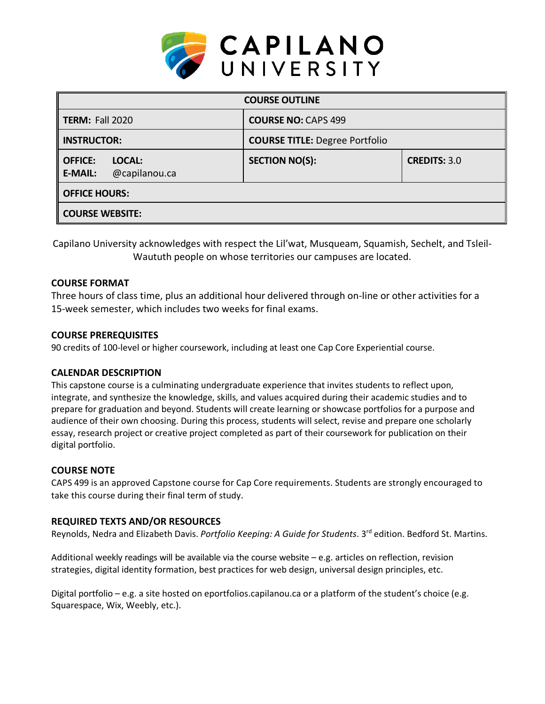

| <b>COURSE OUTLINE</b>                                       |                                       |                     |  |  |  |
|-------------------------------------------------------------|---------------------------------------|---------------------|--|--|--|
| <b>TERM: Fall 2020</b>                                      | <b>COURSE NO: CAPS 499</b>            |                     |  |  |  |
| <b>INSTRUCTOR:</b>                                          | <b>COURSE TITLE: Degree Portfolio</b> |                     |  |  |  |
| <b>OFFICE:</b><br>LOCAL:<br>@capilanou.ca<br><b>E-MAIL:</b> | <b>SECTION NO(S):</b>                 | <b>CREDITS: 3.0</b> |  |  |  |
| <b>OFFICE HOURS:</b>                                        |                                       |                     |  |  |  |
| <b>COURSE WEBSITE:</b>                                      |                                       |                     |  |  |  |

Capilano University acknowledges with respect the Lil'wat, Musqueam, Squamish, Sechelt, and Tsleil-Waututh people on whose territories our campuses are located.

#### **COURSE FORMAT**

Three hours of class time, plus an additional hour delivered through on-line or other activities for a 15-week semester, which includes two weeks for final exams.

### **COURSE PREREQUISITES**

90 credits of 100-level or higher coursework, including at least one Cap Core Experiential course.

#### **CALENDAR DESCRIPTION**

This capstone course is a culminating undergraduate experience that invites students to reflect upon, integrate, and synthesize the knowledge, skills, and values acquired during their academic studies and to prepare for graduation and beyond. Students will create learning or showcase portfolios for a purpose and audience of their own choosing. During this process, students will select, revise and prepare one scholarly essay, research project or creative project completed as part of their coursework for publication on their digital portfolio.

#### **COURSE NOTE**

CAPS 499 is an approved Capstone course for Cap Core requirements. Students are strongly encouraged to take this course during their final term of study.

#### **REQUIRED TEXTS AND/OR RESOURCES**

Reynolds, Nedra and Elizabeth Davis. *Portfolio Keeping: A Guide for Students*. 3 rd edition. Bedford St. Martins.

Additional weekly readings will be available via the course website – e.g. articles on reflection, revision strategies, digital identity formation, best practices for web design, universal design principles, etc.

Digital portfolio – e.g. a site hosted on eportfolios.capilanou.ca or a platform of the student's choice (e.g. Squarespace, Wix, Weebly, etc.).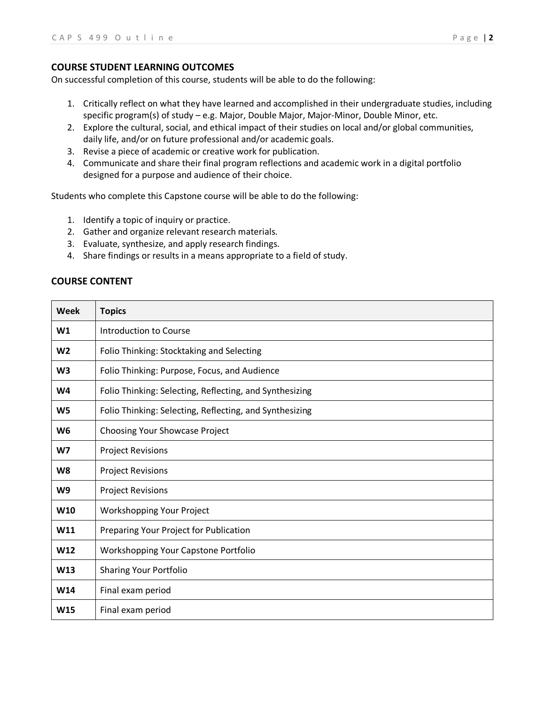#### **COURSE STUDENT LEARNING OUTCOMES**

On successful completion of this course, students will be able to do the following:

- 1. Critically reflect on what they have learned and accomplished in their undergraduate studies, including specific program(s) of study – e.g. Major, Double Major, Major-Minor, Double Minor, etc.
- 2. Explore the cultural, social, and ethical impact of their studies on local and/or global communities, daily life, and/or on future professional and/or academic goals.
- 3. Revise a piece of academic or creative work for publication.
- 4. Communicate and share their final program reflections and academic work in a digital portfolio designed for a purpose and audience of their choice.

Students who complete this Capstone course will be able to do the following:

- 1. Identify a topic of inquiry or practice.
- 2. Gather and organize relevant research materials.
- 3. Evaluate, synthesize, and apply research findings.
- 4. Share findings or results in a means appropriate to a field of study.

#### **COURSE CONTENT**

| Week            | <b>Topics</b>                                           |  |  |
|-----------------|---------------------------------------------------------|--|--|
| W1              | Introduction to Course                                  |  |  |
| W <sub>2</sub>  | Folio Thinking: Stocktaking and Selecting               |  |  |
| W <sub>3</sub>  | Folio Thinking: Purpose, Focus, and Audience            |  |  |
| W <sub>4</sub>  | Folio Thinking: Selecting, Reflecting, and Synthesizing |  |  |
| W <sub>5</sub>  | Folio Thinking: Selecting, Reflecting, and Synthesizing |  |  |
| W <sub>6</sub>  | Choosing Your Showcase Project                          |  |  |
| W7              | <b>Project Revisions</b>                                |  |  |
| W8              | <b>Project Revisions</b>                                |  |  |
| W <sub>9</sub>  | <b>Project Revisions</b>                                |  |  |
| W <sub>10</sub> | Workshopping Your Project                               |  |  |
| W11             | Preparing Your Project for Publication                  |  |  |
| W <sub>12</sub> | Workshopping Your Capstone Portfolio                    |  |  |
| W <sub>13</sub> | <b>Sharing Your Portfolio</b>                           |  |  |
| W14             | Final exam period                                       |  |  |
| W15             | Final exam period                                       |  |  |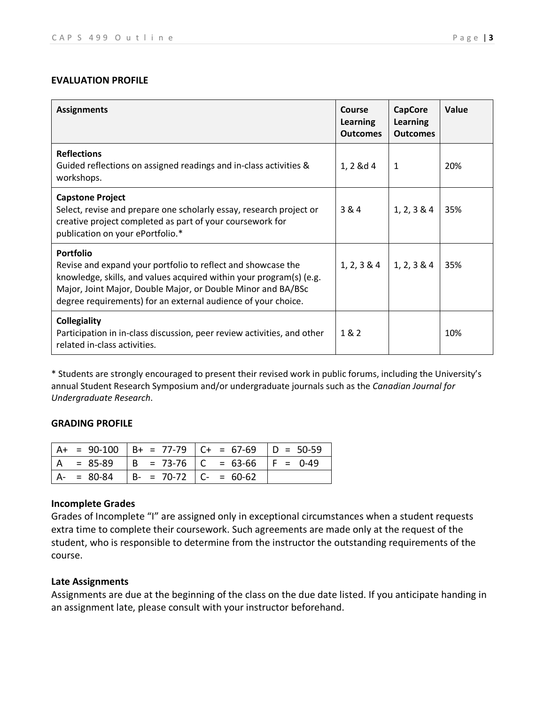## **EVALUATION PROFILE**

| <b>Assignments</b>                                                                                                                                                                                                                                                                       | <b>Course</b><br><b>Learning</b><br><b>Outcomes</b> | <b>CapCore</b><br><b>Learning</b><br><b>Outcomes</b> | Value |
|------------------------------------------------------------------------------------------------------------------------------------------------------------------------------------------------------------------------------------------------------------------------------------------|-----------------------------------------------------|------------------------------------------------------|-------|
| <b>Reflections</b><br>Guided reflections on assigned readings and in-class activities &<br>workshops.                                                                                                                                                                                    | 1, 2 &d 4                                           | 1                                                    | 20%   |
| <b>Capstone Project</b><br>Select, revise and prepare one scholarly essay, research project or<br>creative project completed as part of your coursework for<br>publication on your ePortfolio.*                                                                                          | 3 & 4                                               | 1, 2, 3 & 4                                          | 35%   |
| <b>Portfolio</b><br>Revise and expand your portfolio to reflect and showcase the<br>knowledge, skills, and values acquired within your program(s) (e.g.<br>Major, Joint Major, Double Major, or Double Minor and BA/BSc<br>degree requirements) for an external audience of your choice. | 1, 2, 3 & 4                                         | 1, 2, 3 & 4                                          | 35%   |
| <b>Collegiality</b><br>Participation in in-class discussion, peer review activities, and other<br>related in-class activities.                                                                                                                                                           | 1&2                                                 |                                                      | 10%   |

\* Students are strongly encouraged to present their revised work in public forums, including the University's annual Student Research Symposium and/or undergraduate journals such as the *Canadian Journal for Undergraduate Research*.

#### **GRADING PROFILE**

|               |                           | $A+ = 90-100$ $B+ = 77-79$ $C+ = 67-69$ $D = 50-59$ |  |
|---------------|---------------------------|-----------------------------------------------------|--|
|               |                           | A = 85-89   B = 73-76   C = 63-66   F = 0-49        |  |
| $A - = 80-84$ | $B- = 70-72$ $C- = 60-62$ |                                                     |  |

## **Incomplete Grades**

Grades of Incomplete "I" are assigned only in exceptional circumstances when a student requests extra time to complete their coursework. Such agreements are made only at the request of the student, who is responsible to determine from the instructor the outstanding requirements of the course.

### **Late Assignments**

Assignments are due at the beginning of the class on the due date listed. If you anticipate handing in an assignment late, please consult with your instructor beforehand.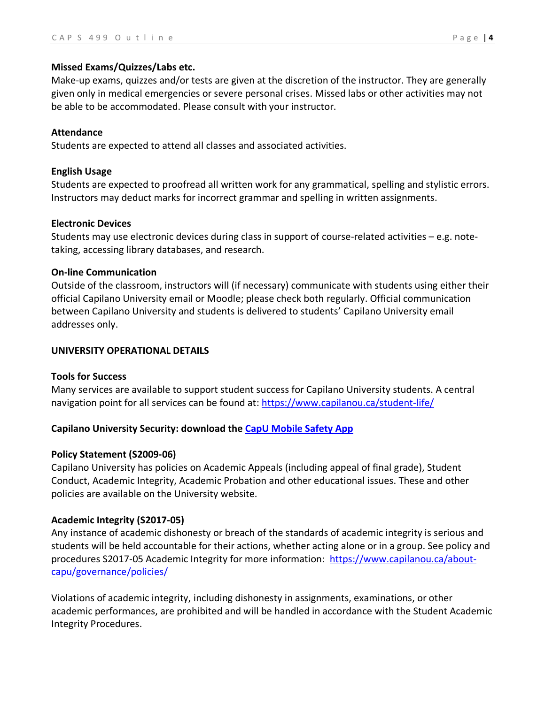### **Missed Exams/Quizzes/Labs etc.**

Make-up exams, quizzes and/or tests are given at the discretion of the instructor. They are generally given only in medical emergencies or severe personal crises. Missed labs or other activities may not be able to be accommodated. Please consult with your instructor.

### **Attendance**

Students are expected to attend all classes and associated activities.

## **English Usage**

Students are expected to proofread all written work for any grammatical, spelling and stylistic errors. Instructors may deduct marks for incorrect grammar and spelling in written assignments.

#### **Electronic Devices**

Students may use electronic devices during class in support of course-related activities – e.g. notetaking, accessing library databases, and research.

### **On-line Communication**

Outside of the classroom, instructors will (if necessary) communicate with students using either their official Capilano University email or Moodle; please check both regularly. Official communication between Capilano University and students is delivered to students' Capilano University email addresses only.

### **UNIVERSITY OPERATIONAL DETAILS**

# **Tools for Success**

Many services are available to support student success for Capilano University students. A central navigation point for all services can be found at: https://www.capilanou.ca/student-life/

# **Capilano University Security: download the CapU Mobile Safety App**

# **Policy Statement (S2009-06)**

Capilano University has policies on Academic Appeals (including appeal of final grade), Student Conduct, Academic Integrity, Academic Probation and other educational issues. These and other policies are available on the University website.

# **Academic Integrity (S2017-05)**

Any instance of academic dishonesty or breach of the standards of academic integrity is serious and students will be held accountable for their actions, whether acting alone or in a group. See policy and procedures S2017-05 Academic Integrity for more information: https://www.capilanou.ca/aboutcapu/governance/policies/

Violations of academic integrity, including dishonesty in assignments, examinations, or other academic performances, are prohibited and will be handled in accordance with the Student Academic Integrity Procedures.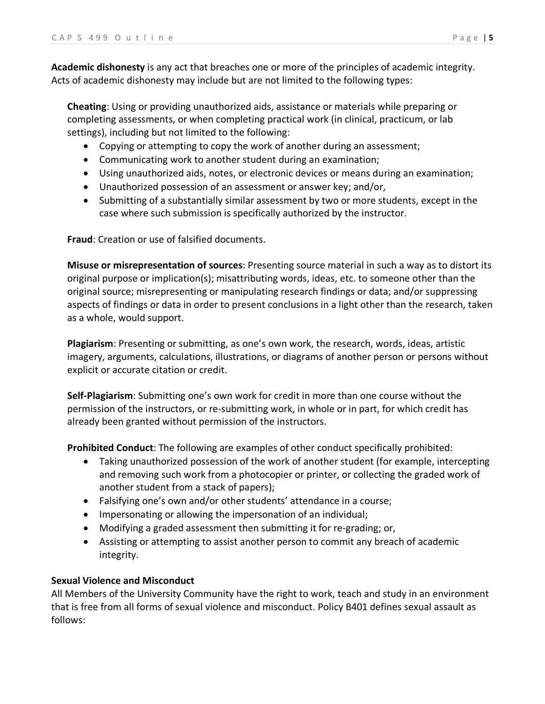**Academic dishonesty** is any act that breaches one or more of the principles of academic integrity. Acts of academic dishonesty may include but are not limited to the following types:

**Cheating**: Using or providing unauthorized aids, assistance or materials while preparing or completing assessments, or when completing practical work (in clinical, practicum, or lab settings), including but not limited to the following:

- Copying or attempting to copy the work of another during an assessment;
- Communicating work to another student during an examination;
- Using unauthorized aids, notes, or electronic devices or means during an examination;
- Unauthorized possession of an assessment or answer key; and/or,
- Submitting of a substantially similar assessment by two or more students, except in the case where such submission is specifically authorized by the instructor.

**Fraud**: Creation or use of falsified documents.

**Misuse or misrepresentation of sources**: Presenting source material in such a way as to distort its original purpose or implication(s); misattributing words, ideas, etc. to someone other than the original source; misrepresenting or manipulating research findings or data; and/or suppressing aspects of findings or data in order to present conclusions in a light other than the research, taken as a whole, would support.

**Plagiarism**: Presenting or submitting, as one's own work, the research, words, ideas, artistic imagery, arguments, calculations, illustrations, or diagrams of another person or persons without explicit or accurate citation or credit.

**Self-Plagiarism**: Submitting one's own work for credit in more than one course without the permission of the instructors, or re-submitting work, in whole or in part, for which credit has already been granted without permission of the instructors.

**Prohibited Conduct**: The following are examples of other conduct specifically prohibited:

- Taking unauthorized possession of the work of another student (for example, intercepting and removing such work from a photocopier or printer, or collecting the graded work of another student from a stack of papers);
- Falsifying one's own and/or other students' attendance in a course;
- Impersonating or allowing the impersonation of an individual;
- Modifying a graded assessment then submitting it for re-grading; or,
- Assisting or attempting to assist another person to commit any breach of academic integrity.

# **Sexual Violence and Misconduct**

All Members of the University Community have the right to work, teach and study in an environment that is free from all forms of sexual violence and misconduct. Policy B401 defines sexual assault as follows: